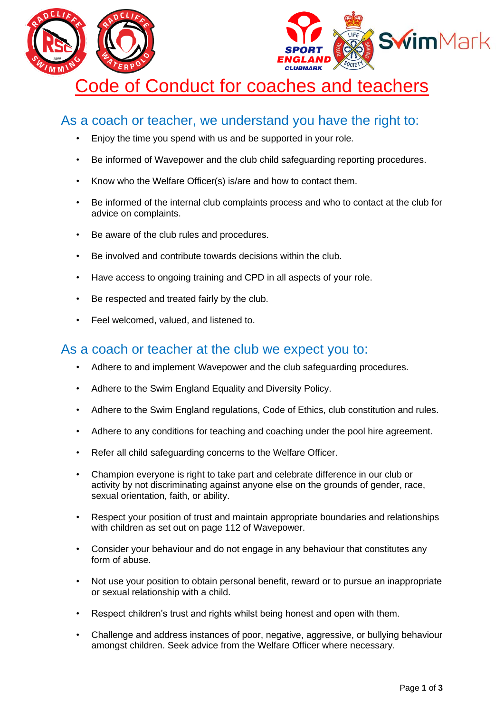



## Code of Conduct for coaches and teachers

## As a coach or teacher, we understand you have the right to:

- Enjoy the time you spend with us and be supported in your role.
- Be informed of Wavepower and the club child safeguarding reporting procedures.
- Know who the Welfare Officer(s) is/are and how to contact them.
- Be informed of the internal club complaints process and who to contact at the club for advice on complaints.
- Be aware of the club rules and procedures.
- Be involved and contribute towards decisions within the club.
- Have access to ongoing training and CPD in all aspects of your role.
- Be respected and treated fairly by the club.
- Feel welcomed, valued, and listened to.

## As a coach or teacher at the club we expect you to:

- Adhere to and implement Wavepower and the club safeguarding procedures.
- Adhere to the Swim England Equality and Diversity Policy.
- Adhere to the Swim England regulations, Code of Ethics, club constitution and rules.
- Adhere to any conditions for teaching and coaching under the pool hire agreement.
- Refer all child safeguarding concerns to the Welfare Officer.
- Champion everyone is right to take part and celebrate difference in our club or activity by not discriminating against anyone else on the grounds of gender, race, sexual orientation, faith, or ability.
- Respect your position of trust and maintain appropriate boundaries and relationships with children as set out on page 112 of Wavepower.
- Consider your behaviour and do not engage in any behaviour that constitutes any form of abuse.
- Not use your position to obtain personal benefit, reward or to pursue an inappropriate or sexual relationship with a child.
- Respect children's trust and rights whilst being honest and open with them.
- Challenge and address instances of poor, negative, aggressive, or bullying behaviour amongst children. Seek advice from the Welfare Officer where necessary.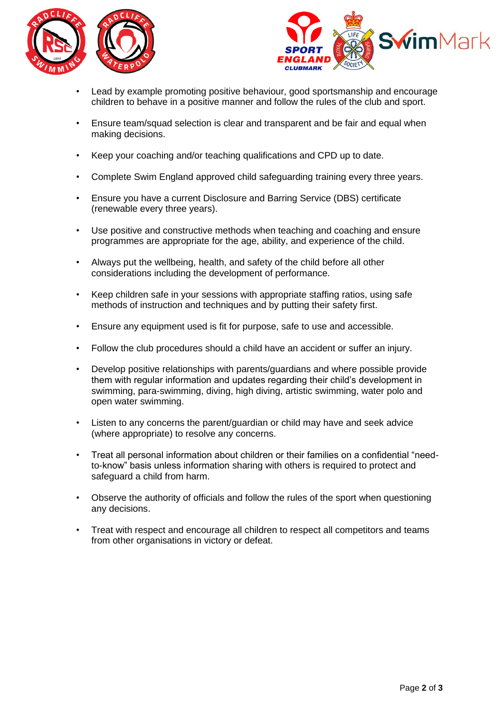



- Lead by example promoting positive behaviour, good sportsmanship and encourage children to behave in a positive manner and follow the rules of the club and sport.
- Ensure team/squad selection is clear and transparent and be fair and equal when making decisions.
- Keep your coaching and/or teaching qualifications and CPD up to date.
- Complete Swim England approved child safeguarding training every three years.
- Ensure you have a current Disclosure and Barring Service (DBS) certificate (renewable every three years).
- Use positive and constructive methods when teaching and coaching and ensure programmes are appropriate for the age, ability, and experience of the child.
- Always put the wellbeing, health, and safety of the child before all other considerations including the development of performance.
- Keep children safe in your sessions with appropriate staffing ratios, using safe methods of instruction and techniques and by putting their safety first.
- Ensure any equipment used is fit for purpose, safe to use and accessible.
- Follow the club procedures should a child have an accident or suffer an injury.
- Develop positive relationships with parents/guardians and where possible provide them with regular information and updates regarding their child's development in swimming, para-swimming, diving, high diving, artistic swimming, water polo and open water swimming.
- Listen to any concerns the parent/guardian or child may have and seek advice (where appropriate) to resolve any concerns.
- Treat all personal information about children or their families on a confidential "needto-know" basis unless information sharing with others is required to protect and safeguard a child from harm.
- Observe the authority of officials and follow the rules of the sport when questioning any decisions.
- Treat with respect and encourage all children to respect all competitors and teams from other organisations in victory or defeat.